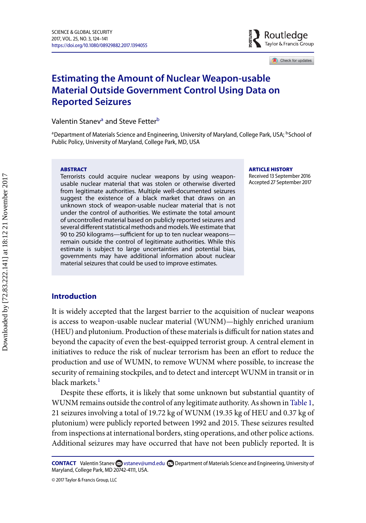

Check for updates

# **Estimating the Amount of Nuclear Weapon-usable Material Outside Government Control Using Data on Reported Seizures**

V[a](#page-0-0)lentin Stanev<sup>a</sup> and Steve Fetter<sup>[b](#page-0-1)</sup>

<span id="page-0-0"></span><sup>a</sup> Department of Materials Science and Engineering, University of Maryland, College Park, USA; <sup>b</sup>School of Public Policy, University of Maryland, College Park, MD, USA

#### **ABSTRACT**

Terrorists could acquire nuclear weapons by using weaponusable nuclear material that was stolen or otherwise diverted from legitimate authorities. Multiple well-documented seizures suggest the existence of a black market that draws on an unknown stock of weapon-usable nuclear material that is not under the control of authorities. We estimate the total amount of uncontrolled material based on publicly reported seizures and several different statistical methods and models. We estimate that 90 to 250 kilograms—sufficient for up to ten nuclear weapons remain outside the control of legitimate authorities. While this estimate is subject to large uncertainties and potential bias, governments may have additional information about nuclear material seizures that could be used to improve estimates.

#### <span id="page-0-1"></span>**ARTICLE HISTORY**

Received 13 September 2016 Accepted 27 September 2017

# **Introduction**

It is widely accepted that the largest barrier to the acquisition of nuclear weapons is access to weapon-usable nuclear material (WUNM)—highly enriched uranium (HEU) and plutonium. Production of these materials is difficult for nation states and beyond the capacity of even the best-equipped terrorist group. A central element in initiatives to reduce the risk of nuclear terrorism has been an effort to reduce the production and use of WUMN, to remove WUNM where possible, to increase the security of remaining stockpiles, and to detect and intercept WUNM in transit or in black markets.<sup>[1](#page-15-0)</sup>

Despite these efforts, it is likely that some unknown but substantial quantity of WUNM remains outside the control of any legitimate authority. As shown in [Table 1,](#page-1-0) 21 seizures involving a total of 19.72 kg of WUNM (19.35 kg of HEU and 0.37 kg of plutonium) were publicly reported between 1992 and 2015. These seizures resulted from inspections at international borders, sting operations, and other police actions. Additional seizures may have occurred that have not been publicly reported. It is

© 2017 Taylor & Francis Group, LLC

**CONTACT** Valentin Stanev a [vstanev@umd.edu](mailto:vstanev@umd.edu) **c** Department of Materials Science and Engineering, University of Maryland, College Park, MD 20742-4111, USA.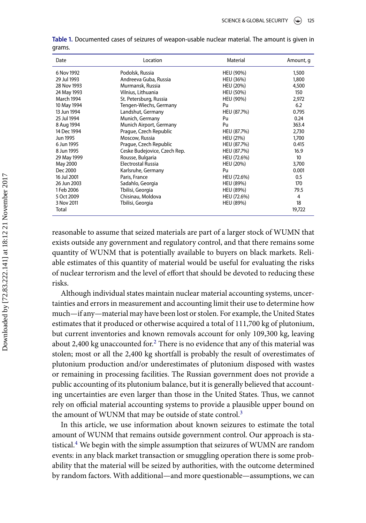| Date              | Location                     | Material         | Amount, q       |  |
|-------------------|------------------------------|------------------|-----------------|--|
| 6 Nov 1992        | Podolsk, Russia              | HEU (90%)        | 1,500           |  |
| 29 Jul 1993       | Andreeva Guba, Russia        | HEU (36%)        | 1,800           |  |
| 28 Nov 1993       | Murmansk, Russia             | <b>HEU (20%)</b> | 4,500           |  |
| 24 May 1993       | Vilnius, Lithuania           | <b>HEU (50%)</b> | 150             |  |
| <b>March 1994</b> | St. Petersburg, Russia       | HEU (90%)        | 2,972           |  |
| 10 May 1994       | Tengen-Wiechs, Germany       | Pu               | 6.2             |  |
| 13 Jun 1994       | Landshut, Germany            | HEU (87.7%)      | 0.795           |  |
| 25 Jul 1994       | Munich, Germany              | Pu               | 0.24            |  |
| 8 Aug 1994        | Munich Airport, Germany      | Pu               | 363.4           |  |
| 14 Dec 1994       | Prague, Czech Republic       | HEU (87.7%)      | 2,730           |  |
| Jun 1995          | Moscow, Russia               | HEU (21%)        | 1,700           |  |
| 6 Jun 1995        | Prague, Czech Republic       | HEU (87.7%)      | 0.415           |  |
| 8 Jun 1995        | Ceske Budejovice, Czech Rep. | HEU (87.7%)      | 16.9            |  |
| 29 May 1999       | Rousse, Bulgaria             | HEU (72.6%)      | 10 <sup>°</sup> |  |
| May 2000          | Electrostal Russia           | <b>HEU (20%)</b> | 3,700           |  |
| Dec 2000          | Karlsruhe, Germany           | Pu               | 0.001           |  |
| 16 Jul 2001       | Paris, France                | HEU (72.6%)      | 0.5             |  |
| 26 Jun 2003       | Sadahlo, Georgia             | <b>HEU (89%)</b> | 170             |  |
| 1 Feb 2006        | Tbilisi, Georgia             | <b>HEU (89%)</b> | 79.5            |  |
| 5 Oct 2009        | Chisinau, Moldova            | HEU (72.6%)      | 4               |  |
| 3 Nov 2011        | Tbilisi, Georgia             | <b>HEU (89%)</b> | 18              |  |
| Total             |                              |                  | 19,722          |  |

<span id="page-1-0"></span>**Table .** Documented cases of seizures of weapon-usable nuclear material. The amount is given in grams.

reasonable to assume that seized materials are part of a larger stock of WUMN that exists outside any government and regulatory control, and that there remains some quantity of WUNM that is potentially available to buyers on black markets. Reliable estimates of this quantity of material would be useful for evaluating the risks of nuclear terrorism and the level of effort that should be devoted to reducing these risks.

Although individual states maintain nuclear material accounting systems, uncertainties and errors in measurement and accounting limit their use to determine how much—if any—material may have been lost or stolen. For example, the United States estimates that it produced or otherwise acquired a total of 111,700 kg of plutonium, but current inventories and known removals account for only 109,300 kg, leaving about [2](#page-15-1),400 kg unaccounted for.<sup>2</sup> There is no evidence that any of this material was stolen; most or all the 2,400 kg shortfall is probably the result of overestimates of plutonium production and/or underestimates of plutonium disposed with wastes or remaining in processing facilities. The Russian government does not provide a public accounting of its plutonium balance, but it is generally believed that accounting uncertainties are even larger than those in the United States. Thus, we cannot rely on official material accounting systems to provide a plausible upper bound on the amount of WUNM that may be outside of state control.<sup>[3](#page-15-2)</sup>

In this article, we use information about known seizures to estimate the total amount of WUNM that remains outside government control. Our approach is sta-tistical.<sup>[4](#page-15-3)</sup> We begin with the simple assumption that seizures of WUMN are random events: in any black market transaction or smuggling operation there is some probability that the material will be seized by authorities, with the outcome determined by random factors. With additional—and more questionable—assumptions, we can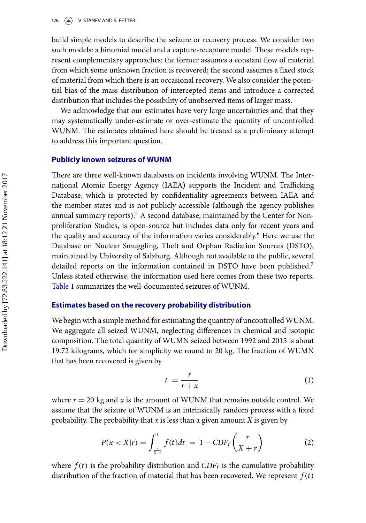build simple models to describe the seizure or recovery process. We consider two such models: a binomial model and a capture-recapture model. These models represent complementary approaches: the former assumes a constant flow of material from which some unknown fraction is recovered; the second assumes a fixed stock of material from which there is an occasional recovery. We also consider the potential bias of the mass distribution of intercepted items and introduce a corrected distribution that includes the possibility of unobserved items of larger mass.

We acknowledge that our estimates have very large uncertainties and that they may systematically under-estimate or over-estimate the quantity of uncontrolled WUNM. The estimates obtained here should be treated as a preliminary attempt to address this important question.

### **Publicly known seizures of WUNM**

There are three well-known databases on incidents involving WUNM. The International Atomic Energy Agency (IAEA) supports the Incident and Trafficking Database, which is protected by confidentiality agreements between IAEA and the member states and is not publicly accessible (although the agency publishes annual summary reports).<sup>[5](#page-15-4)</sup> A second database, maintained by the Center for Nonproliferation Studies, is open-source but includes data only for recent years and the quality and accuracy of the information varies considerably.<sup>[6](#page-15-5)</sup> Here we use the Database on Nuclear Smuggling, Theft and Orphan Radiation Sources (DSTO), maintained by University of Salzburg. Although not available to the public, several detailed reports on the information contained in DSTO have been published.<sup>[7](#page-15-6)</sup> Unless stated otherwise, the information used here comes from these two reports. [Table 1](#page-1-0) summarizes the well-documented seizures of WUNM.

# **Estimates based on the recovery probability distribution**

We begin with a simple method for estimating the quantity of uncontrolled WUNM. We aggregate all seized WUNM, neglecting differences in chemical and isotopic composition. The total quantity of WUMN seized between 1992 and 2015 is about 19.72 kilograms, which for simplicity we round to 20 kg. The fraction of WUMN that has been recovered is given by

<span id="page-2-0"></span>
$$
t = \frac{r}{r + x} \tag{1}
$$

where  $r = 20$  kg and  $x$  is the amount of WUNM that remains outside control. We assume that the seizure of WUNM is an intrinsically random process with a fixed probability. The probability that *x* is less than a given amount *X* is given by

$$
P(x < X | r) = \int_{\frac{r}{X+r}}^{1} f(t) dt = 1 - CDF_f\left(\frac{r}{X+r}\right) \tag{2}
$$

where  $f(t)$  is the probability distribution and  $CDF<sub>f</sub>$  is the cumulative probability distribution of the fraction of material that has been recovered. We represent  $f(t)$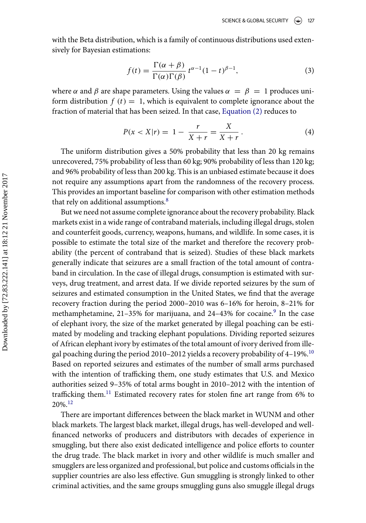with the Beta distribution, which is a family of continuous distributions used extensively for Bayesian estimations:

<span id="page-3-0"></span>
$$
f(t) = \frac{\Gamma(\alpha + \beta)}{\Gamma(\alpha)\Gamma(\beta)} t^{\alpha - 1} (1 - t)^{\beta - 1},
$$
\n(3)

where  $\alpha$  and  $\beta$  are shape parameters. Using the values  $\alpha = \beta = 1$  produces uniform distribution  $f(t) = 1$ , which is equivalent to complete ignorance about the fraction of material that has been seized. In that case, [Equation \(2\)](#page-2-0) reduces to

$$
P(x < X | r) = 1 - \frac{r}{X + r} = \frac{X}{X + r}.
$$
 (4)

The uniform distribution gives a 50% probability that less than 20 kg remains unrecovered, 75% probability of less than 60 kg; 90% probability of less than 120 kg; and 96% probability of less than 200 kg. This is an unbiased estimate because it does not require any assumptions apart from the randomness of the recovery process. This provides an important baseline for comparison with other estimation methods that rely on additional assumptions.<sup>[8](#page-15-7)</sup>

But we need not assume complete ignorance about the recovery probability. Black markets exist in a wide range of contraband materials, including illegal drugs, stolen and counterfeit goods, currency, weapons, humans, and wildlife. In some cases, it is possible to estimate the total size of the market and therefore the recovery probability (the percent of contraband that is seized). Studies of these black markets generally indicate that seizures are a small fraction of the total amount of contraband in circulation. In the case of illegal drugs, consumption is estimated with surveys, drug treatment, and arrest data. If we divide reported seizures by the sum of seizures and estimated consumption in the United States, we find that the average recovery fraction during the period 2000–2010 was 6–16% for heroin, 8–21% for methamphetamine, 21-35% for marijuana, and 24-43% for cocaine.<sup>[9](#page-16-0)</sup> In the case of elephant ivory, the size of the market generated by illegal poaching can be estimated by modeling and tracking elephant populations. Dividing reported seizures of African elephant ivory by estimates of the total amount of ivory derived from ille-gal poaching during the period 20[10](#page-16-1)-2012 yields a recovery probability of 4-19%.<sup>10</sup> Based on reported seizures and estimates of the number of small arms purchased with the intention of trafficking them, one study estimates that U.S. and Mexico authorities seized 9–35% of total arms bought in 2010–2012 with the intention of trafficking them.[11](#page-16-2) Estimated recovery rates for stolen fine art range from 6% to 20%.[12](#page-16-3)

There are important differences between the black market in WUNM and other black markets. The largest black market, illegal drugs, has well-developed and wellfinanced networks of producers and distributors with decades of experience in smuggling, but there also exist dedicated intelligence and police efforts to counter the drug trade. The black market in ivory and other wildlife is much smaller and smugglers are less organized and professional, but police and customs officials in the supplier countries are also less effective. Gun smuggling is strongly linked to other criminal activities, and the same groups smuggling guns also smuggle illegal drugs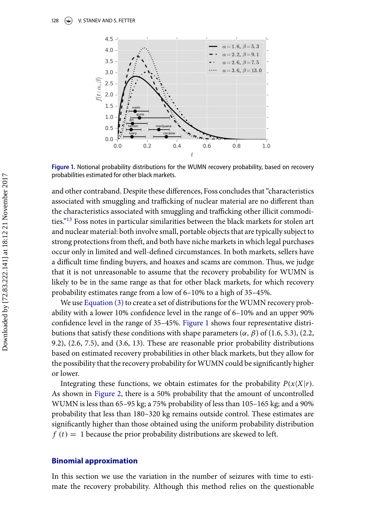<span id="page-4-0"></span>

Figure 1. Notional probability distributions for the WUMN recovery probability, based on recovery probabilities estimated for other black markets.

and other contraband. Despite these differences, Foss concludes that "characteristics associated with smuggling and trafficking of nuclear material are no different than the characteristics associated with smuggling and trafficking other illicit commodi-ties."<sup>[13](#page-16-4)</sup> Foss notes in particular similarities between the black markets for stolen art and nuclear material: both involve small, portable objects that are typically subject to strong protections from theft, and both have niche markets in which legal purchases occur only in limited and well-defined circumstances. In both markets, sellers have a difficult time finding buyers, and hoaxes and scams are common. Thus, we judge that it is not unreasonable to assume that the recovery probability for WUMN is likely to be in the same range as that for other black markets, for which recovery probability estimates range from a low of 6–10% to a high of 35–45%.

We use Equation  $(3)$  to create a set of distributions for the WUMN recovery probability with a lower 10% confidence level in the range of 6–10% and an upper 90% confidence level in the range of 35–45%. [Figure 1](#page-4-0) shows four representative distributions that satisfy these conditions with shape parameters  $(\alpha, \beta)$  of (1.6, 5.3), (2.2, 9.2), (2.6, 7.5), and (3.6, 13). These are reasonable prior probability distributions based on estimated recovery probabilities in other black markets, but they allow for the possibility that the recovery probability for WUMN could be significantly higher or lower.

Integrating these functions, we obtain estimates for the probability  $P(x|X|r)$ . As shown in [Figure 2,](#page-5-0) there is a 50% probability that the amount of uncontrolled WUMN is less than 65–95 kg; a 75% probability of less than 105–165 kg; and a 90% probability that less than 180–320 kg remains outside control. These estimates are significantly higher than those obtained using the uniform probability distribution  $f(t) = 1$  because the prior probability distributions are skewed to left.

## **Binomial approximation**

In this section we use the variation in the number of seizures with time to estimate the recovery probability. Although this method relies on the questionable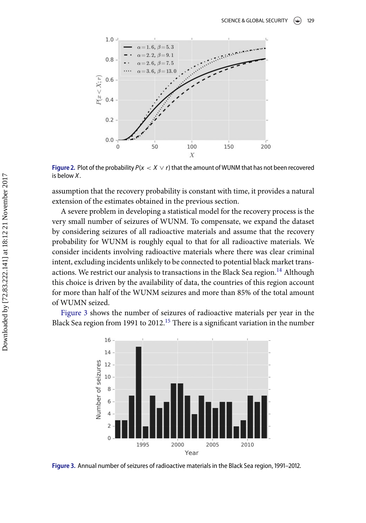<span id="page-5-0"></span>

**Figure 2.** Plot of the probability  $P(x < X \vee r)$  that the amount of WUNM that has not been recovered is below *X*.

assumption that the recovery probability is constant with time, it provides a natural extension of the estimates obtained in the previous section.

A severe problem in developing a statistical model for the recovery process is the very small number of seizures of WUNM. To compensate, we expand the dataset by considering seizures of all radioactive materials and assume that the recovery probability for WUNM is roughly equal to that for all radioactive materials. We consider incidents involving radioactive materials where there was clear criminal intent, excluding incidents unlikely to be connected to potential black market trans-actions. We restrict our analysis to transactions in the Black Sea region.<sup>[14](#page-16-5)</sup> Although this choice is driven by the availability of data, the countries of this region account for more than half of the WUNM seizures and more than 85% of the total amount of WUMN seized.

<span id="page-5-1"></span>[Figure 3](#page-5-1) shows the number of seizures of radioactive materials per year in the Black Sea region from 1991 to 2012.<sup>[15](#page-16-6)</sup> There is a significant variation in the number



Figure 3. Annual number of seizures of radioactive materials in the Black Sea region, 1991-2012.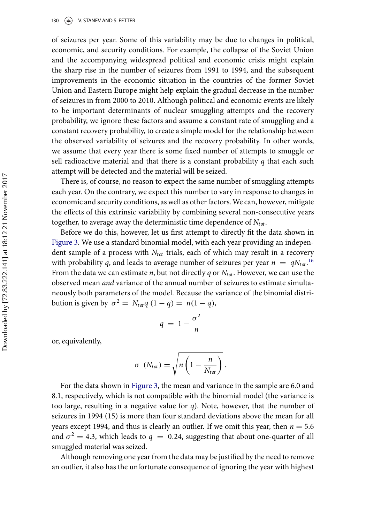#### 130 (S) V. STANEV AND S. FETTER

of seizures per year. Some of this variability may be due to changes in political, economic, and security conditions. For example, the collapse of the Soviet Union and the accompanying widespread political and economic crisis might explain the sharp rise in the number of seizures from 1991 to 1994, and the subsequent improvements in the economic situation in the countries of the former Soviet Union and Eastern Europe might help explain the gradual decrease in the number of seizures in from 2000 to 2010. Although political and economic events are likely to be important determinants of nuclear smuggling attempts and the recovery probability, we ignore these factors and assume a constant rate of smuggling and a constant recovery probability, to create a simple model for the relationship between the observed variability of seizures and the recovery probability. In other words, we assume that every year there is some fixed number of attempts to smuggle or sell radioactive material and that there is a constant probability *q* that each such attempt will be detected and the material will be seized.

There is, of course, no reason to expect the same number of smuggling attempts each year. On the contrary, we expect this number to vary in response to changes in economic and security conditions, as well as other factors.We can, however, mitigate the effects of this extrinsic variability by combining several non-consecutive years together, to average away the deterministic time dependence of  $N_{tot}$ .

Before we do this, however, let us first attempt to directly fit the data shown in [Figure 3.](#page-5-1) We use a standard binomial model, with each year providing an independent sample of a process with  $N_{tot}$  trials, each of which may result in a recovery with probability *q*, and leads to average number of seizures per year  $n = qN_{tot}$ .<sup>[16](#page-17-0)</sup> From the data we can estimate *n*, but not directly *q* or *Ntot*. However, we can use the observed mean *and* variance of the annual number of seizures to estimate simultaneously both parameters of the model. Because the variance of the binomial distribution is given by  $\sigma^2 = N_{tot}q(1-q) = n(1-q)$ ,

$$
q = 1 - \frac{\sigma^2}{n}
$$

or, equivalently,

$$
\sigma\ \left(N_{tot}\right)=\sqrt{n\left(1-\frac{n}{N_{tot}}\right)}\,.
$$

For the data shown in [Figure 3,](#page-5-1) the mean and variance in the sample are 6.0 and 8.1, respectively, which is not compatible with the binomial model (the variance is too large, resulting in a negative value for *q*). Note, however, that the number of seizures in 1994 (15) is more than four standard deviations above the mean for all years except 1994, and thus is clearly an outlier. If we omit this year, then  $n = 5.6$ and  $\sigma^2 = 4.3$ , which leads to  $q = 0.24$ , suggesting that about one-quarter of all smuggled material was seized.

Although removing one year from the data may be justified by the need to remove an outlier, it also has the unfortunate consequence of ignoring the year with highest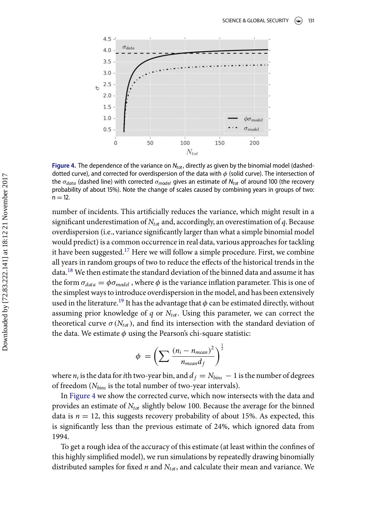<span id="page-7-0"></span>

**Figure 4.** The dependence of the variance on  $N_{tot}$ , directly as given by the binomial model (dasheddotted curve), and corrected for overdispersion of the data with  $\phi$  (solid curve). The intersection of the σ<sub>data</sub> (dashed line) with corrected σ<sub>model</sub> gives an estimate of N<sub>tot</sub> of around 100 (the recovery probability of about 15%). Note the change of scales caused by combining years in groups of two:  $n = 12$ .

number of incidents. This artificially reduces the variance, which might result in a significant underestimation of *Ntot* and, accordingly, an overestimation of *q*. Because overdispersion (i.e., variance significantly larger than what a simple binomial model would predict) is a common occurrence in real data, various approaches for tackling it have been suggested.<sup>[17](#page-17-1)</sup> Here we will follow a simple procedure. First, we combine all years in random groups of two to reduce the effects of the historical trends in the data.[18](#page-17-2) We then estimate the standard deviation of the binned data and assume it has the form  $\sigma_{data} = \phi \sigma_{model}$ , where  $\phi$  is the variance inflation parameter. This is one of the simplest ways to introduce overdispersion in the model, and has been extensively used in the literature.<sup>[19](#page-17-3)</sup> It has the advantage that  $\phi$  can be estimated directly, without assuming prior knowledge of *q* or  $N_{tot}$ . Using this parameter, we can correct the theoretical curve  $\sigma(N_{tot})$ , and find its intersection with the standard deviation of the data. We estimate  $\phi$  using the Pearson's chi-square statistic:

$$
\phi = \left(\sum \frac{(n_i - n_{mean})^2}{n_{mean}d_f}\right)^{\frac{1}{2}}
$$

where  $n_i$  is the data for *i*th two-year bin, and  $d_f = N_{bins} - 1$  is the number of degrees of freedom (*Nbins* is the total number of two-year intervals).

In [Figure 4](#page-7-0) we show the corrected curve, which now intersects with the data and provides an estimate of *Ntot* slightly below 100. Because the average for the binned data is  $n = 12$ , this suggests recovery probability of about 15%. As expected, this is significantly less than the previous estimate of 24%, which ignored data from 1994.

To get a rough idea of the accuracy of this estimate (at least within the confines of this highly simplified model), we run simulations by repeatedly drawing binomially distributed samples for fixed *n* and  $N_{tot}$ , and calculate their mean and variance. We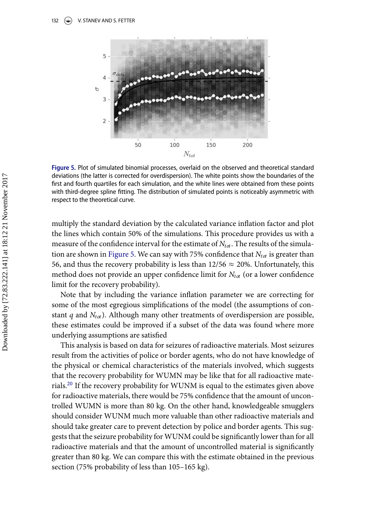<span id="page-8-0"></span>

Figure 5. Plot of simulated binomial processes, overlaid on the observed and theoretical standard deviations (the latter is corrected for overdispersion). The white points show the boundaries of the first and fourth quartiles for each simulation, and the white lines were obtained from these points with third-degree spline fitting. The distribution of simulated points is noticeably asymmetric with respect to the theoretical curve.

multiply the standard deviation by the calculated variance inflation factor and plot the lines which contain 50% of the simulations. This procedure provides us with a measure of the confidence interval for the estimate of  $N_{tot}$ . The results of the simula-tion are shown in [Figure 5.](#page-8-0) We can say with  $75\%$  confidence that  $N_{tot}$  is greater than 56, and thus the recovery probability is less than  $12/56 \approx 20\%$ . Unfortunately, this method does not provide an upper confidence limit for *Ntot* (or a lower confidence limit for the recovery probability).

Note that by including the variance inflation parameter we are correcting for some of the most egregious simplifications of the model (the assumptions of constant *q* and  $N_{tot}$ ). Although many other treatments of overdispersion are possible, these estimates could be improved if a subset of the data was found where more underlying assumptions are satisfied

This analysis is based on data for seizures of radioactive materials. Most seizures result from the activities of police or border agents, who do not have knowledge of the physical or chemical characteristics of the materials involved, which suggests that the recovery probability for WUMN may be like that for all radioactive materials.[20](#page-17-4) If the recovery probability for WUNM is equal to the estimates given above for radioactive materials, there would be 75% confidence that the amount of uncontrolled WUMN is more than 80 kg. On the other hand, knowledgeable smugglers should consider WUNM much more valuable than other radioactive materials and should take greater care to prevent detection by police and border agents. This suggests that the seizure probability for WUNM could be significantly lower than for all radioactive materials and that the amount of uncontrolled material is significantly greater than 80 kg. We can compare this with the estimate obtained in the previous section (75% probability of less than 105–165 kg).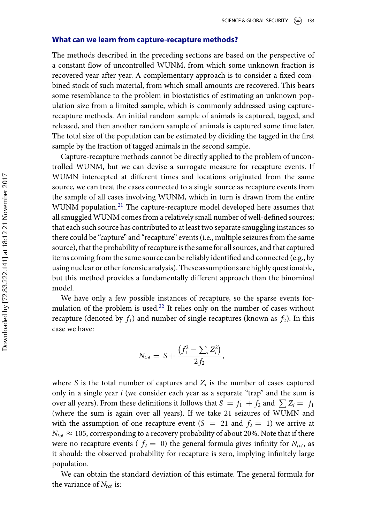#### **What can we learn from capture-recapture methods?**

The methods described in the preceding sections are based on the perspective of a constant flow of uncontrolled WUNM, from which some unknown fraction is recovered year after year. A complementary approach is to consider a fixed combined stock of such material, from which small amounts are recovered. This bears some resemblance to the problem in biostatistics of estimating an unknown population size from a limited sample, which is commonly addressed using capturerecapture methods. An initial random sample of animals is captured, tagged, and released, and then another random sample of animals is captured some time later. The total size of the population can be estimated by dividing the tagged in the first sample by the fraction of tagged animals in the second sample.

Capture-recapture methods cannot be directly applied to the problem of uncontrolled WUNM, but we can devise a surrogate measure for recapture events. If WUMN intercepted at different times and locations originated from the same source, we can treat the cases connected to a single source as recapture events from the sample of all cases involving WUNM, which in turn is drawn from the entire WUNM population.<sup>[21](#page-17-5)</sup> The capture-recapture model developed here assumes that all smuggled WUNM comes from a relatively small number of well-defined sources; that each such source has contributed to at least two separate smuggling instances so there could be "capture" and "recapture" events (i.e., multiple seizures from the same source), that the probability of recapture is the same for all sources, and that captured items coming from the same source can be reliably identified and connected (e.g., by using nuclear or other forensic analysis). These assumptions are highly questionable, but this method provides a fundamentally different approach than the binominal model.

We have only a few possible instances of recapture, so the sparse events for-mulation of the problem is used.<sup>[22](#page-17-6)</sup> It relies only on the number of cases without recapture (denoted by  $f_1$ ) and number of single recaptures (known as  $f_2$ ). In this case we have:

$$
N_{tot} = S + \frac{(f_1^2 - \sum_i Z_i^2)}{2f_2},
$$

where *S* is the total number of captures and  $Z_i$  is the number of cases captured only in a single year *i* (we consider each year as a separate "trap" and the sum is over all years). From these definitions it follows that  $S = f_1 + f_2$  and  $\sum Z_i = f_1$ (where the sum is again over all years). If we take 21 seizures of WUMN and with the assumption of one recapture event  $(S = 21$  and  $f_2 = 1)$  we arrive at  $N_{tot} \approx 105$ , corresponding to a recovery probability of about 20%. Note that if there were no recapture events ( $f_2 = 0$ ) the general formula gives infinity for  $N_{tot}$ , as it should: the observed probability for recapture is zero, implying infinitely large population.

We can obtain the standard deviation of this estimate. The general formula for the variance of  $N_{tot}$  is: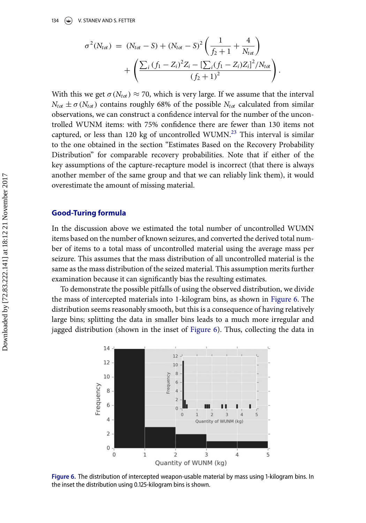$$
\sigma^{2}(N_{tot}) = (N_{tot} - S) + (N_{tot} - S)^{2} \left( \frac{1}{f_{2} + 1} + \frac{4}{N_{tot}} \right) + \left( \frac{\sum_{i} (f_{1} - Z_{i})^{2} Z_{i} - [\sum_{i} (f_{1} - Z_{i}) Z_{i}]^{2} / N_{tot}}{(f_{2} + 1)^{2}} \right).
$$

With this we get  $\sigma(N_{tot}) \approx 70$ , which is very large. If we assume that the interval  $N_{tot} \pm \sigma(N_{tot})$  contains roughly 68% of the possible  $N_{tot}$  calculated from similar observations, we can construct a confidence interval for the number of the uncontrolled WUNM items: with 75% confidence there are fewer than 130 items not captured, or less than 120 kg of uncontrolled WUMN.[23](#page-17-7) This interval is similar to the one obtained in the section "Estimates Based on the Recovery Probability Distribution" for comparable recovery probabilities. Note that if either of the key assumptions of the capture-recapture model is incorrect (that there is always another member of the same group and that we can reliably link them), it would overestimate the amount of missing material.

## **Good-Turing formula**

In the discussion above we estimated the total number of uncontrolled WUMN items based on the number of known seizures, and converted the derived total number of items to a total mass of uncontrolled material using the average mass per seizure. This assumes that the mass distribution of all uncontrolled material is the same as the mass distribution of the seized material. This assumption merits further examination because it can significantly bias the resulting estimates.

To demonstrate the possible pitfalls of using the observed distribution, we divide the mass of intercepted materials into 1-kilogram bins, as shown in [Figure 6.](#page-10-0) The distribution seems reasonably smooth, but this is a consequence of having relatively large bins; splitting the data in smaller bins leads to a much more irregular and jagged distribution (shown in the inset of [Figure 6\)](#page-10-0). Thus, collecting the data in

<span id="page-10-0"></span>

Figure 6. The distribution of intercepted weapon-usable material by mass using 1-kilogram bins. In the inset the distribution using 0.125-kilogram bins is shown.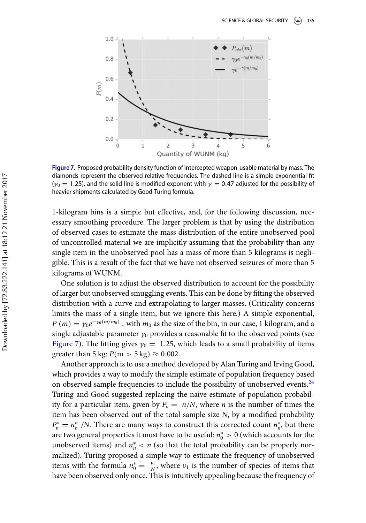<span id="page-11-0"></span>

Figure 7. Proposed probability density function of intercepted weapon-usable material by mass. The diamonds represent the observed relative frequencies. The dashed line is a simple exponential fit ( $\gamma_0$  = 1.25), and the solid line is modified exponent with  $\gamma$  = 0.47 adjusted for the possibility of heavier shipments calculated by Good-Turing formula.

1-kilogram bins is a simple but effective, and, for the following discussion, necessary smoothing procedure. The larger problem is that by using the distribution of observed cases to estimate the mass distribution of the entire unobserved pool of uncontrolled material we are implicitly assuming that the probability than any single item in the unobserved pool has a mass of more than 5 kilograms is negligible. This is a result of the fact that we have not observed seizures of more than 5 kilograms of WUNM.

One solution is to adjust the observed distribution to account for the possibility of larger but unobserved smuggling events. This can be done by fitting the observed distribution with a curve and extrapolating to larger masses. (Criticality concerns limits the mass of a single item, but we ignore this here.) A simple exponential,  $P(m) = \gamma_0 e^{-\gamma_0(m/m_0)}$ , with  $m_0$  as the size of the bin, in our case, 1 kilogram, and a single adjustable parameter  $\gamma_0$  provides a reasonable fit to the observed points (see [Figure 7\)](#page-11-0). The fitting gives  $y_0 = 1.25$ , which leads to a small probability of items greater than 5 kg:  $P(m > 5 \text{ kg}) \approx 0.002$ .

Another approach is to use a method developed by Alan Turing and Irving Good, which provides a way to modify the simple estimate of population frequency based on observed sample frequencies to include the possibility of unobserved events.<sup>[24](#page-17-8)</sup> Turing and Good suggested replacing the naive estimate of population probability for a particular item, given by  $P_n = n/N$ , where *n* is the number of times the item has been observed out of the total sample size *N*, by a modified probability  $P_n^* = n_n^* / N$ . There are many ways to construct this corrected count  $n_n^*$ , but there are two general properties it must have to be useful:  $n_0^\ast > 0$  (which accounts for the unobserved items) and *n*<sup>∗</sup> *<sup>n</sup>* < *n* (so that the total probability can be properly normalized). Turing proposed a simple way to estimate the frequency of unobserved items with the formula  $n_0^* = \frac{\nu_1}{N}$ , where  $\nu_1$  is the number of species of items that have been observed only once. This is intuitively appealing because the frequency of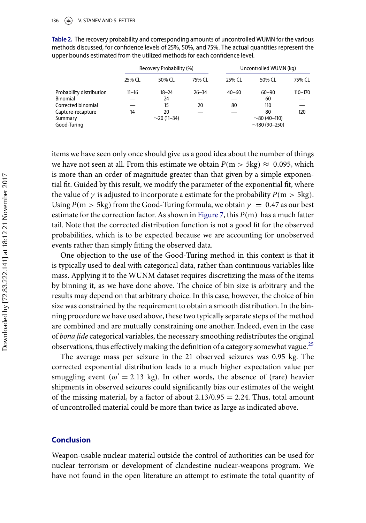#### 136 V. STANEV AND S. FETTER

|                                                                                                           | Recovery Probability (%) |                                                  |                 | Uncontrolled WUMN (kg) |                                                                      |                |
|-----------------------------------------------------------------------------------------------------------|--------------------------|--------------------------------------------------|-----------------|------------------------|----------------------------------------------------------------------|----------------|
|                                                                                                           | 25% CL                   | 50% CL                                           | 75% CL          | 25% CL                 | 50% CL                                                               | 75% CL         |
| Probability distribution<br>Binomial<br>Corrected binomial<br>Capture-recapture<br>Summary<br>Good-Turing | $11 - 16$<br>14          | $18 - 24$<br>24<br>15<br>20<br>$\sim$ 20 (11–34) | $26 - 34$<br>20 | $40 - 60$<br>80        | $60 - 90$<br>60<br>110<br>80<br>$\sim$ 80 (40–110)<br>$~180(90-250)$ | 110-170<br>120 |

<span id="page-12-0"></span>Table 2. The recovery probability and corresponding amounts of uncontrolled WUMN for the various methods discussed, for confidence levels of 25%, 50%, and 75%. The actual quantities represent the upper bounds estimated from the utilized methods for each confidence level.

items we have seen only once should give us a good idea about the number of things we have not seen at all. From this estimate we obtain  $P(m > 5kg) \approx 0.095$ , which is more than an order of magnitude greater than that given by a simple exponential fit. Guided by this result, we modify the parameter of the exponential fit, where the value of  $\gamma$  is adjusted to incorporate a estimate for the probability  $P(m > 5kg)$ . Using  $P(m > 5kg)$  from the Good-Turing formula, we obtain  $\gamma = 0.47$  as our best estimate for the correction factor. As shown in [Figure 7,](#page-11-0) this  $P(m)$  has a much fatter tail. Note that the corrected distribution function is not a good fit for the observed probabilities, which is to be expected because we are accounting for unobserved events rather than simply fitting the observed data.

One objectio[n](#page-12-0) to the use of the Good-Turing method in this context is that it is typically used to deal with categorical data, rather than continuous variables like mass. Applying it to the WUNM dataset requires discretizing the mass of the items by binning it, as we have done above. The choice of bin size is arbitrary and the results may depend on that arbitrary choice. In this case, however, the choice of bin size was constrained by the requirement to obtain a smooth distribution. In the binning procedure we have used above, these two typically separate steps of the method are combined and are mutually constraining one another. Indeed, even in the case of *bona fide* categorical variables, the necessary smoothing redistributes the original observations, thus effectively making the definition of a category somewhat vague.<sup>[25](#page-17-9)</sup>

The average mass per seizure in the 21 observed seizures was 0.95 kg. The corrected exponential distribution leads to a much higher expectation value per smuggling event ( $w' = 2.13$  kg). In other words, the absence of (rare) heavier shipments in observed seizures could significantly bias our estimates of the weight of the missing material, by a factor of about  $2.13/0.95 = 2.24$ . Thus, total amount of uncontrolled material could be more than twice as large as indicated above.

## **Conclusion**

Weapon-usable nuclear material outside the control of authorities can be used for nuclear terrorism or development of clandestine nuclear-weapons program. W[e](#page-13-0) have not found in the open literature an attempt to estimate the total quantity of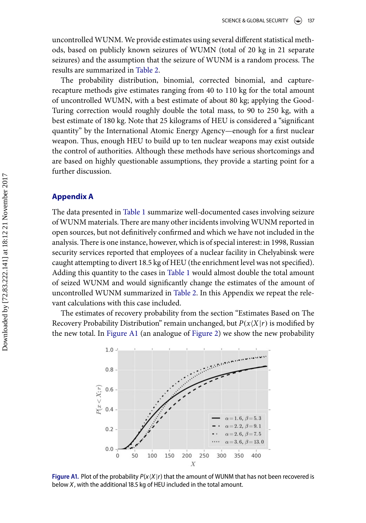uncontrolled WUNM. We provide estimates using several different statistical methods, based on publicly known seizures of WUMN (total of 20 kg in 21 separate seizures) and the assumption that the seizure of WUNM is a random process. The results are summarized in [Table 2.](#page-12-0)

The probability distribution, binomial, corrected binomial, and capturerecapture methods give estimates ranging from 40 to 110 kg for the total amount of uncontrolled WUMN, with a best estimate of about 80 kg; applying the Good-Turing correction would roughly double the total mass, to 90 to 250 kg, with a best estimate of 180 kg. Note that 25 kilograms of HEU is considered a "significant quantity" by the International Atomic Energy Agency—enough for a first nuclear weapon. Thus, enough HEU to build up to ten nuclear weapons may exist outside the control of authorities. Although these methods have serious shortcomings and are based on highly questionable assumptions, they provide a starting point for a further discussion.

## **Appendix A**

The data presented in [Table 1](#page-1-0) summarize well-documented cases involving seizure of WUNM materials. There are many other incidents involving WUNM reported in open sources, but not definitively confirmed and which we have not included in the analysis. There is one instance, however, which is of special interest: in 1998, Russian security services reported that employees of a nuclear facility in Chelyabinsk were caught attempting to divert 18.5 kg of HEU (the enrichment level was not specified). Adding this quantity to the cases in [Table 1](#page-1-0) would almost double the total amount of seized WUNM and would significantly change the estimates of the amount of uncontrolled WUNM summarized in [Table 2.](#page-12-0) In this Appendix we repeat the relevant calculations with this case included.

<span id="page-13-0"></span>The estimates of recovery probability from the section "Estimates Based on The Recovery Probability Distribution" remain unchanged, but  $P(x|X|r)$  is modified by the new total. In [Figure A1](#page-13-0) (an analogue of [Figure 2\)](#page-5-0) we show the new probability



**Figure A1.** Plot of the probability  $P(x|Y|r)$  that the amount of WUNM that has not been recovered is help in the additional 18.5 kg of HELL included in the total amount below *X*, with the additional 18.5 kg of HEU included in the total amount.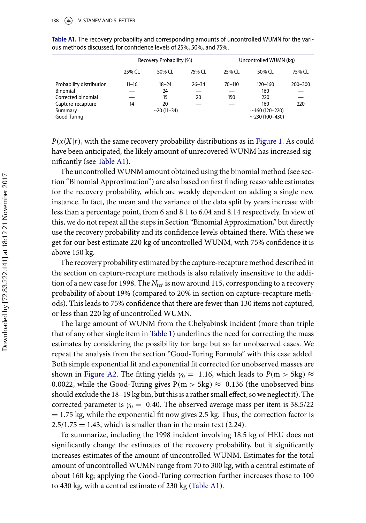|                          | Recovery Probability (%) |                   |           | Uncontrolled WUMN (kg) |                      |             |  |
|--------------------------|--------------------------|-------------------|-----------|------------------------|----------------------|-------------|--|
|                          | 25% CL                   | 50% CL            | 75% CL    | 25% CL                 | 50% CL               | 75% CL      |  |
| Probability distribution | $11 - 16$                | $18 - 24$         | $26 - 34$ | $70 - 110$             | $120 - 160$          | $200 - 300$ |  |
| Binomial                 |                          | 24                |           |                        | 160                  |             |  |
| Corrected binomial       |                          | 15                | 20        | 150                    | 220                  |             |  |
| Capture-recapture        | 14                       | 20                |           |                        | 160                  | 220         |  |
| Summary                  |                          | $\sim$ 20 (11–34) |           |                        | $\sim$ 160 (120–220) |             |  |
| Good-Turing              |                          |                   |           |                        | $\sim$ 230 (100-430) |             |  |

<span id="page-14-0"></span>Table A1. The recovery probability and corresponding amounts of uncontrolled WUMN for the various methods discussed, for confidence levels of 25%, 50%, and 75%.

 $P(x|X|r)$ , with the same recovery probability distributions as in [Figure 1.](#page-4-0) As could have been anticipated, the likely amount of unrecovered WUNM has increased significantly (see [Table A1\)](#page-14-0).

The uncontrolled WUNM amount obtained using the binomial method (see section "Binomial Approximation") are also based on first finding reasonable estimates for the recovery probability, which are weakly dependent on adding a single new instance. In fact, the mean and the variance of the data split by years increase with less than a percentage point, from 6 and 8.1 to 6.04 and 8.14 respectively. In view of this, we do not repeat all the steps in Section "Binomial Approximation," but directly use the recovery probability and its confidence levels obtained there. With these we get for our best estimate 220 kg of uncontrolled WUNM, with 75% confidence it is above 150 kg.

The recovery probability estimated by the capture-recapture method described in the section on capture-recapture methods is also relatively insensitive to the addition of a new case for 1998. The  $N_{tot}$  is now around 115, corresponding to a recovery probability of about 19% (compared to 20% in section on capture-recapture methods). This leads to 75% confidence that there are fewer than 130 items not captured, or less than 220 kg of uncontrolled WUMN.

The large amount of WUNM from the Chelyabinsk incident (more than triple that of any other single item in [Table 1\)](#page-1-0) underlines the need for correcting the mass estimates by considering the possibility for large but so far unobserved cases. We repeat the analysis from the section "Good-Turing Formula" with this case added. Both simple exponential fit and exponential fit corrected for unobserved masses are shown in [Figure A2.](#page-15-8) The fitting yields  $\gamma_0 = 1.16$ , which leads to  $P(m > 5kg) \approx$ 0.0022, while the Good-Turing gives  $P(m > 5kg) \approx 0.136$  (the unobserved bins should exclude the 18–19 kg bin, but this is a rather small effect, so we neglect it). The corrected parameter is  $\gamma_0 = 0.40$ . The observed average mass per item is 38.5/22  $= 1.75$  kg, while the exponential fit now gives 2.5 kg. Thus, the correction factor is  $2.5/1.75 = 1.43$ , which is smaller than in the main text (2.24).

To summarize, including the 1998 incident involving 18.5 kg of HEU does not significantly change the estimates of the recovery probability, but it significantly increases estimates of the amount of uncontrolled WUNM. Estimates for the total amount of uncontrolled WUMN range from 70 to 300 kg, with a central estimate of about 160 kg; applying the Good-Turing correction further increases those to 100 to 430 kg, with a central estimate of 230 kg [\(Table A1\)](#page-14-0).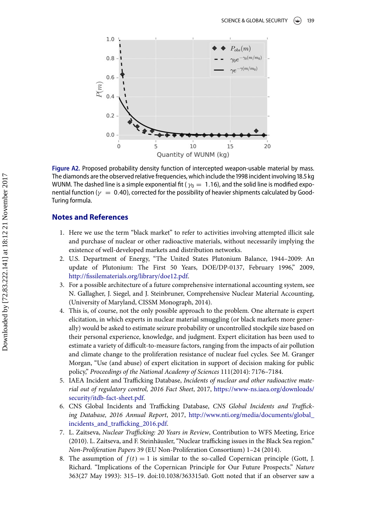<span id="page-15-8"></span>

Figure A2. Proposed probability density function of intercepted weapon-usable material by mass. The diamonds are the observed relative frequencies, which include the 1998 incident involving 18.5 kg WUNM. The dashed line is a simple exponential fit ( $\gamma_0 = 1.16$ ), and the solid line is modified exponential function ( $\gamma = 0.40$ ), corrected for the possibility of heavier shipments calculated by Good-Turing formula.

## **Notes and References**

- <span id="page-15-0"></span>1. Here we use the term "black market" to refer to activities involving attempted illicit sale and purchase of nuclear or other radioactive materials, without necessarily implying the existence of well-developed markets and distribution networks.
- <span id="page-15-1"></span>2. U.S. Department of Energy, "The United States Plutonium Balance, 1944–2009: An update of Plutonium: The First 50 Years, DOE/DP-0137, February 1996," 2009, [http://fissilematerials.org/library/doe12.pdf.](http://fissilematerials.org/library/doe12.pdf)
- <span id="page-15-2"></span>3. For a possible architecture of a future comprehensive international accounting system, see N. Gallagher, J. Siegel, and J. Steinbruner, Comprehensive Nuclear Material Accounting, (University of Maryland, CISSM Monograph, 2014).
- <span id="page-15-3"></span>4. This is, of course, not the only possible approach to the problem. One alternate is expert elicitation, in which experts in nuclear material smuggling (or black markets more generally) would be asked to estimate seizure probability or uncontrolled stockpile size based on their personal experience, knowledge, and judgment. Expert elicitation has been used to estimate a variety of difficult-to-measure factors, ranging from the impacts of air pollution and climate change to the proliferation resistance of nuclear fuel cycles. See M. Granger Morgan, "Use (and abuse) of expert elicitation in support of decision making for public policy," *Proceedings of the National Academy of Sciences* 111(2014): 7176–7184.
- <span id="page-15-4"></span>5. IAEA Incident and Trafficking Database, *Incidents of nuclear and other radioactive mate[rial out of regulatory control, 2016 Fact Sheet](https://www-ns.iaea.org/downloads/security/itdb-fact-sheet.pdf)*, 2017, https://www-ns.iaea.org/downloads/ security/itdb-fact-sheet.pdf.
- <span id="page-15-5"></span>6. CNS Global Incidents and Trafficking Database, *CNS Global Incidents and Trafficking Database, 2016 Annual Report*, 2017, [http://www.nti.org/media/documents/global\\_](http://www.nti.org/media/documents/global_incidents_and_trafficking_2016.pdf) incidents\_and\_trafficking\_2016.pdf.
- <span id="page-15-6"></span>7. L. Zaitseva, *Nuclear Trafficking: 20 Years in Review*, Contribution to WFS Meeting, Erice (2010). L. Zaitseva, and F. Steinhäusler, "Nuclear trafficking issues in the Black Sea region." *Non-Proliferation Papers* 39 (EU Non-Proliferation Consortium) 1–24 (2014).
- <span id="page-15-7"></span>8. The assumption of  $f(t) = 1$  is similar to the so-called Copernican principle (Gott, J. Richard. "Implications of the Copernican Principle for Our Future Prospects." *Nature* 363(27 May 1993): 315–19. doi:10.1038/363315a0. Gott noted that if an observer saw a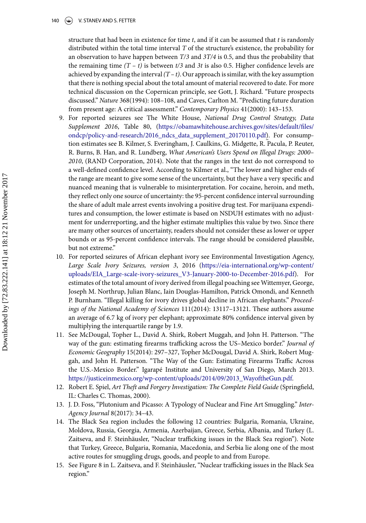#### 140 **(C)** V. STANEV AND S. FETTER

structure that had been in existence for time *t*, and if it can be assumed that *t* is randomly distributed within the total time interval *T* of the structure's existence, the probability for an observation to have happen between *T/3* and *3T/4* is 0.5, and thus the probability that the remaining time  $(T - t)$  is between  $t/3$  and  $3t$  is also 0.5. Higher confidence levels are achieved by expanding the interval  $(T - t)$ . Our approach is similar, with the key assumption that there is nothing special about the total amount of material recovered to date. For more technical discussion on the Copernican principle, see Gott, J. Richard. "Future prospects discussed." *Nature* 368(1994): 108–108, and Caves, Carlton M. "Predicting future duration from present age: A critical assessment." *Contemporary Physics* 41(2000): 143–153.

- <span id="page-16-0"></span>9. For reported seizures see The White House, *National Drug Control Strategy, Data Supplement 2016*, Table 80, (https://obamawhitehouse.archives.gov/sites/default/files/ [ondcp/policy-and-research/2016\\_ndcs\\_data\\_supplement\\_20170110.pdf\). For consump](https://obamawhitehouse.archives.gov/sites/default/files/ondcp/policy-and-research/2016_ndcs_data_supplement_20170110.pdf)tion estimates see B. Kilmer, S. Everingham, J. Caulkins, G. Midgette, R. Pacula, P. Reuter, R. Burns, B. Han, and R. Lundberg, *What American's Users Spend on Illegal Drugs: 2000– 2010*, (RAND Corporation, 2014). Note that the ranges in the text do not correspond to a well-defined confidence level. According to Kilmer et al., "The lower and higher ends of the range are meant to give some sense of the uncertainty, but they have a very specific and nuanced meaning that is vulnerable to misinterpretation. For cocaine, heroin, and meth, they reflect only one source of uncertainty: the 95-percent confidence interval surrounding the share of adult male arrest events involving a positive drug test. For marijuana expenditures and consumption, the lower estimate is based on NSDUH estimates with no adjustment for underreporting, and the higher estimate multiplies this value by two. Since there are many other sources of uncertainty, readers should not consider these as lower or upper bounds or as 95-percent confidence intervals. The range should be considered plausible, but not extreme."
- <span id="page-16-1"></span>10. For reported seizures of African elephant ivory see Environmental Investigation Agency, *Large Scale Ivory Seizures, version 3*, 2016 (https://eia-international.org/wp-content/ [uploads/EIA\\_Large-scale-ivory-seizures\\_V3-January-2000-to-December-2016.pdf\). For](https://eia-international.org/wp-content/uploads/EIA_Large-scale-ivory-seizures_V3-January-2000-to-December-2016.pdf) estimates of the total amount of ivory derived from illegal poaching see Wittemyer, George, Joseph M. Northrup, Julian Blanc, Iain Douglas-Hamilton, Patrick Omondi, and Kenneth P. Burnham. "Illegal killing for ivory drives global decline in African elephants." *Proceedings of the National Academy of Sciences* 111(2014): 13117–13121. These authors assume an average of 6.7 kg of ivory per elephant; approximate 80% confidence interval given by multiplying the interquartile range by 1.9.
- <span id="page-16-2"></span>11. See McDougal, Topher L., David A. Shirk, Robert Muggah, and John H. Patterson. "The way of the gun: estimating firearms trafficking across the US–Mexico border." *Journal of Economic Geography* 15(2014): 297–327, Topher McDougal, David A. Shirk, Robert Muggah, and John H. Patterson. "The Way of the Gun: Estimating Firearms Traffic Across the U.S.-Mexico Border." Igarapé Institute and University of San Diego, March 2013. [https://justiceinmexico.org/wp-content/uploads/2014/09/2013\\_WayoftheGun.pdf.](https://justiceinmexico.org/wp-content/uploads/2014/09/2013_WayoftheGun.pdf)
- <span id="page-16-3"></span>12. Robert E. Spiel, *Art Theft and Forgery Investigation: The Complete Field Guide* (Springfield, IL: Charles C. Thomas, 2000).
- <span id="page-16-4"></span>13. J. D. Foss, "Plutonium and Picasso: A Typology of Nuclear and Fine Art Smuggling." *Inter-Agency Journal* 8(2017): 34–43.
- <span id="page-16-5"></span>14. The Black Sea region includes the following 12 countries: Bulgaria, Romania, Ukraine, Moldova, Russia, Georgia, Armenia, Azerbaijan, Greece, Serbia, Albania, and Turkey (L. Zaitseva, and F. Steinhäusler, "Nuclear trafficking issues in the Black Sea region"). Note that Turkey, Greece, Bulgaria, Romania, Macedonia, and Serbia lie along one of the most active routes for smuggling drugs, goods, and people to and from Europe.
- <span id="page-16-6"></span>15. See Figure 8 in L. Zaitseva, and F. Steinhäusler, "Nuclear trafficking issues in the Black Sea region."